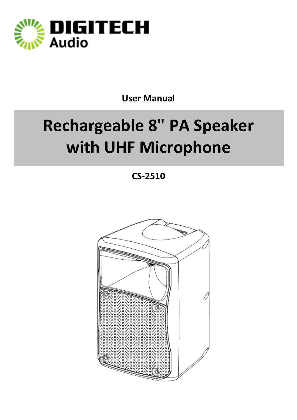

## **User Manual**

# **Rechargeable 8" PA Speaker with UHF Microphone**

**CS-2510**

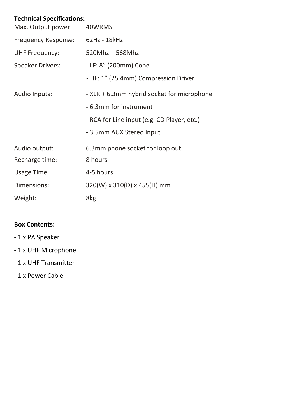## **Technical Specifications:**

| Max. Output power:         | 40WRMS                                      |
|----------------------------|---------------------------------------------|
| <b>Frequency Response:</b> | 62Hz - 18kHz                                |
| <b>UHF Frequency:</b>      | 520Mhz - 568Mhz                             |
| <b>Speaker Drivers:</b>    | - LF: 8" (200mm) Cone                       |
|                            | - HF: 1" (25.4mm) Compression Driver        |
| Audio Inputs:              | - XLR + 6.3mm hybrid socket for microphone  |
|                            | - 6.3mm for instrument                      |
|                            | - RCA for Line input (e.g. CD Player, etc.) |
|                            | - 3.5mm AUX Stereo Input                    |
| Audio output:              | 6.3mm phone socket for loop out             |
| Recharge time:             | 8 hours                                     |
| <b>Usage Time:</b>         | 4-5 hours                                   |
| Dimensions:                | 320(W) x 310(D) x 455(H) mm                 |
| Weight:                    | 8kg                                         |

### **Box Contents:**

- 1 x PA Speaker
- 1 x UHF Microphone
- 1 x UHF Transmitter
- 1 x Power Cable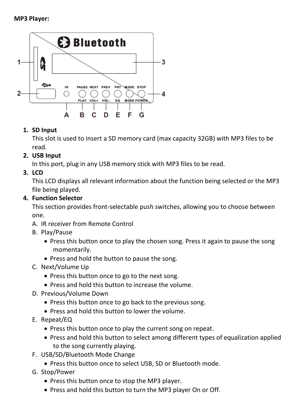

### **1. SD Input**

This slot is used to insert a SD memory card (max capacity 32GB) with MP3 files to be read.

## **2. USB Input**

In this port, plug in any USB memory stick with MP3 files to be read.

## **3. LCD**

This LCD displays all relevant information about the function being selected or the MP3 file being played.

### **4. Function Selector**

This section provides front-selectable push switches, allowing you to choose between one.

- A. IR receiver from Remote Control
- B. Play/Pause
	- Press this button once to play the chosen song. Press it again to pause the song momentarily.
	- Press and hold the button to pause the song.
- C. Next/Volume Up
	- Press this button once to go to the next song.
	- Press and hold this button to increase the volume.
- D. Previous/Volume Down
	- Press this button once to go back to the previous song.
	- Press and hold this button to lower the volume.
- E. Repeat/EQ
	- Press this button once to play the current song on repeat.
	- Press and hold this button to select among different types of equalization applied to the song currently playing.
- F. USB/SD/Bluetooth Mode Change
	- Press this button once to select USB, SD or Bluetooth mode.
- G. Stop/Power
	- Press this button once to stop the MP3 player.
	- Press and hold this button to turn the MP3 player On or Off.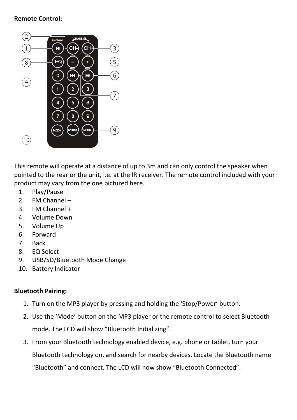#### **Remote Control:**



This remote will operate at a distance of up to 3m and can only control the speaker when pointed to the rear or the unit, i.e. at the IR receiver. The remote control included with your product may vary from the one pictured here.

- 1. Play/Pause
- 2. FM Channel –
- 3. FM Channel +
- 4. Volume Down
- 5. Volume Up
- 6. Forward
- 7. Back
- 8. EQ Select
- 9. USB/SD/Bluetooth Mode Change
- 10. Battery Indicator

#### **Bluetooth Pairing:**

- 1. Turn on the MP3 player by pressing and holding the 'Stop/Power' button.
- 2. Use the 'Mode' button on the MP3 player or the remote control to select Bluetooth mode. The LCD will show "Bluetooth Initializing".
- 3. From your Bluetooth technology enabled device, e.g. phone or tablet, turn your Bluetooth technology on, and search for nearby devices. Locate the Bluetooth name "Bluetooth" and connect. The LCD will now show "Bluetooth Connected".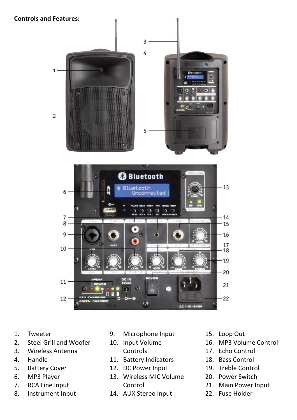**Controls and Features:**



- 1. Tweeter
- 2. Steel Grill and Woofer
- 3. Wireless Antenna
- 4. Handle
- 5. Battery Cover
- 6. MP3 Player
- 7. RCA Line Input
- 8. Instrument Input
- 9. Microphone Input
- 10. Input Volume Controls
- 11. Battery Indicators
- 12. DC Power Input
- 13. Wireless MIC Volume Control
- 14. AUX Stereo Input
- 15. Loop Out
- 16. MP3 Volume Control
- 17. Echo Control
- 18. Bass Control
- 19. Treble Control
- 20. Power Switch
- 21. Main Power Input
- 22. Fuse Holder